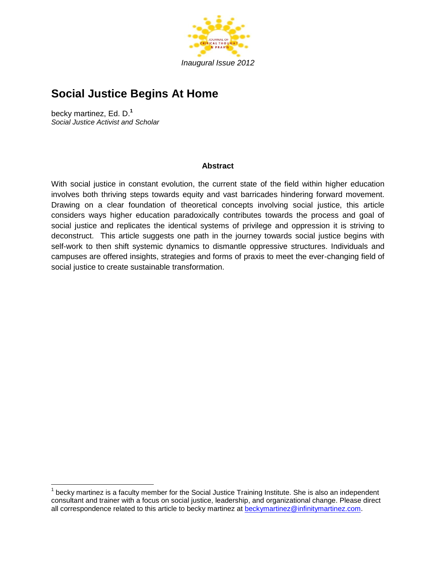

# **Social Justice Begins At Home**

becky martinez, Ed. D. **1** *Social Justice Activist and Scholar*

 $\overline{a}$ 

## **Abstract**

With social justice in constant evolution, the current state of the field within higher education involves both thriving steps towards equity and vast barricades hindering forward movement. Drawing on a clear foundation of theoretical concepts involving social justice, this article considers ways higher education paradoxically contributes towards the process and goal of social justice and replicates the identical systems of privilege and oppression it is striving to deconstruct. This article suggests one path in the journey towards social justice begins with self-work to then shift systemic dynamics to dismantle oppressive structures. Individuals and campuses are offered insights, strategies and forms of praxis to meet the ever-changing field of social justice to create sustainable transformation.

 $1$  becky martinez is a faculty member for the Social Justice Training Institute. She is also an independent consultant and trainer with a focus on social justice, leadership, and organizational change. Please direct all correspondence related to this article to becky martinez at [beckymartinez@infinitymartinez.com.](mailto:beckymartinez@infinitymartinez.com)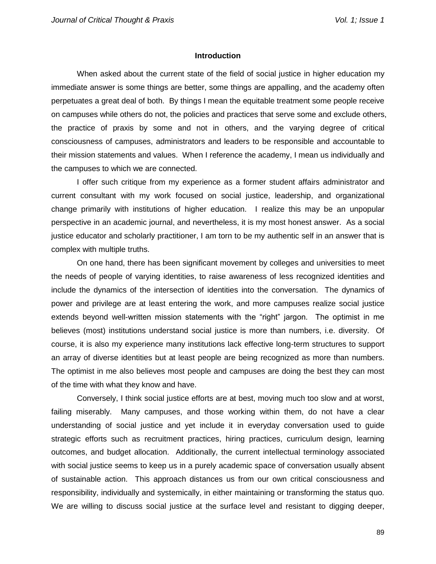#### **Introduction**

When asked about the current state of the field of social justice in higher education my immediate answer is some things are better, some things are appalling, and the academy often perpetuates a great deal of both. By things I mean the equitable treatment some people receive on campuses while others do not, the policies and practices that serve some and exclude others, the practice of praxis by some and not in others, and the varying degree of critical consciousness of campuses, administrators and leaders to be responsible and accountable to their mission statements and values. When I reference the academy, I mean us individually and the campuses to which we are connected.

I offer such critique from my experience as a former student affairs administrator and current consultant with my work focused on social justice, leadership, and organizational change primarily with institutions of higher education. I realize this may be an unpopular perspective in an academic journal, and nevertheless, it is my most honest answer. As a social justice educator and scholarly practitioner, I am torn to be my authentic self in an answer that is complex with multiple truths.

On one hand, there has been significant movement by colleges and universities to meet the needs of people of varying identities, to raise awareness of less recognized identities and include the dynamics of the intersection of identities into the conversation. The dynamics of power and privilege are at least entering the work, and more campuses realize social justice extends beyond well-written mission statements with the "right" jargon. The optimist in me believes (most) institutions understand social justice is more than numbers, i.e. diversity. Of course, it is also my experience many institutions lack effective long-term structures to support an array of diverse identities but at least people are being recognized as more than numbers. The optimist in me also believes most people and campuses are doing the best they can most of the time with what they know and have.

Conversely, I think social justice efforts are at best, moving much too slow and at worst, failing miserably. Many campuses, and those working within them, do not have a clear understanding of social justice and yet include it in everyday conversation used to guide strategic efforts such as recruitment practices, hiring practices, curriculum design, learning outcomes, and budget allocation. Additionally, the current intellectual terminology associated with social justice seems to keep us in a purely academic space of conversation usually absent of sustainable action. This approach distances us from our own critical consciousness and responsibility, individually and systemically, in either maintaining or transforming the status quo. We are willing to discuss social justice at the surface level and resistant to digging deeper,

89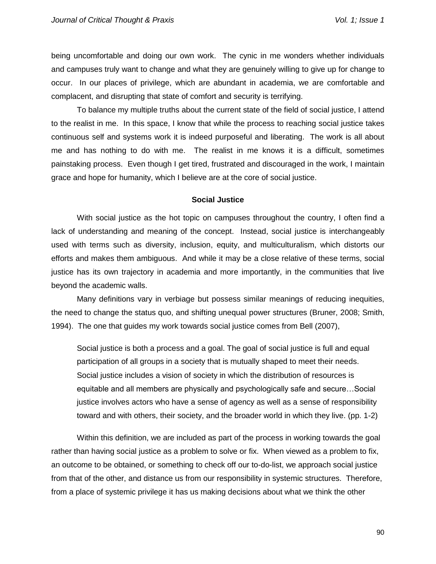being uncomfortable and doing our own work. The cynic in me wonders whether individuals and campuses truly want to change and what they are genuinely willing to give up for change to occur. In our places of privilege, which are abundant in academia, we are comfortable and complacent, and disrupting that state of comfort and security is terrifying.

To balance my multiple truths about the current state of the field of social justice, I attend to the realist in me. In this space, I know that while the process to reaching social justice takes continuous self and systems work it is indeed purposeful and liberating. The work is all about me and has nothing to do with me. The realist in me knows it is a difficult, sometimes painstaking process. Even though I get tired, frustrated and discouraged in the work, I maintain grace and hope for humanity, which I believe are at the core of social justice.

#### **Social Justice**

With social justice as the hot topic on campuses throughout the country, I often find a lack of understanding and meaning of the concept. Instead, social justice is interchangeably used with terms such as diversity, inclusion, equity, and multiculturalism, which distorts our efforts and makes them ambiguous. And while it may be a close relative of these terms, social justice has its own trajectory in academia and more importantly, in the communities that live beyond the academic walls.

Many definitions vary in verbiage but possess similar meanings of reducing inequities, the need to change the status quo, and shifting unequal power structures (Bruner, 2008; Smith, 1994). The one that guides my work towards social justice comes from Bell (2007),

Social justice is both a process and a goal. The goal of social justice is full and equal participation of all groups in a society that is mutually shaped to meet their needs. Social justice includes a vision of society in which the distribution of resources is equitable and all members are physically and psychologically safe and secure…Social justice involves actors who have a sense of agency as well as a sense of responsibility toward and with others, their society, and the broader world in which they live. (pp. 1-2)

Within this definition, we are included as part of the process in working towards the goal rather than having social justice as a problem to solve or fix. When viewed as a problem to fix, an outcome to be obtained, or something to check off our to-do-list, we approach social justice from that of the other, and distance us from our responsibility in systemic structures. Therefore, from a place of systemic privilege it has us making decisions about what we think the other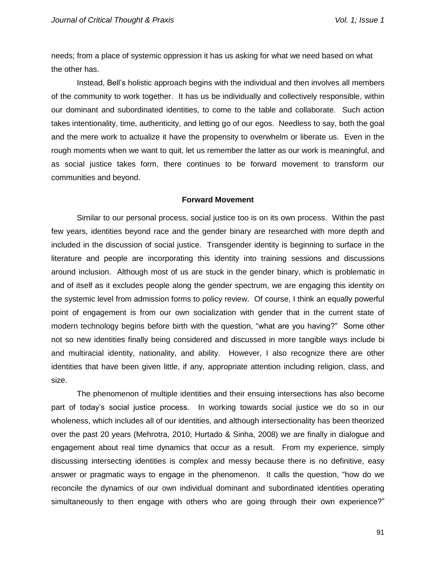needs; from a place of systemic oppression it has us asking for what we need based on what the other has.

Instead, Bell's holistic approach begins with the individual and then involves all members of the community to work together. It has us be individually and collectively responsible, within our dominant and subordinated identities, to come to the table and collaborate. Such action takes intentionality, time, authenticity, and letting go of our egos. Needless to say, both the goal and the mere work to actualize it have the propensity to overwhelm or liberate us. Even in the rough moments when we want to quit, let us remember the latter as our work is meaningful, and as social justice takes form, there continues to be forward movement to transform our communities and beyond.

## **Forward Movement**

Similar to our personal process, social justice too is on its own process. Within the past few years, identities beyond race and the gender binary are researched with more depth and included in the discussion of social justice. Transgender identity is beginning to surface in the literature and people are incorporating this identity into training sessions and discussions around inclusion. Although most of us are stuck in the gender binary, which is problematic in and of itself as it excludes people along the gender spectrum, we are engaging this identity on the systemic level from admission forms to policy review. Of course, I think an equally powerful point of engagement is from our own socialization with gender that in the current state of modern technology begins before birth with the question, "what are you having?" Some other not so new identities finally being considered and discussed in more tangible ways include bi and multiracial identity, nationality, and ability. However, I also recognize there are other identities that have been given little, if any, appropriate attention including religion, class, and size.

The phenomenon of multiple identities and their ensuing intersections has also become part of today's social justice process. In working towards social justice we do so in our wholeness, which includes all of our identities, and although intersectionality has been theorized over the past 20 years (Mehrotra, 2010; Hurtado & Sinha, 2008) we are finally in dialogue and engagement about real time dynamics that occur as a result. From my experience, simply discussing intersecting identities is complex and messy because there is no definitive, easy answer or pragmatic ways to engage in the phenomenon. It calls the question, "how do we reconcile the dynamics of our own individual dominant and subordinated identities operating simultaneously to then engage with others who are going through their own experience?"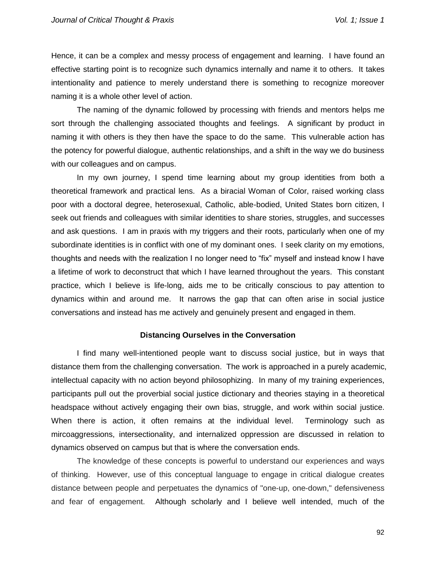Hence, it can be a complex and messy process of engagement and learning. I have found an effective starting point is to recognize such dynamics internally and name it to others. It takes intentionality and patience to merely understand there is something to recognize moreover naming it is a whole other level of action.

The naming of the dynamic followed by processing with friends and mentors helps me sort through the challenging associated thoughts and feelings. A significant by product in naming it with others is they then have the space to do the same. This vulnerable action has the potency for powerful dialogue, authentic relationships, and a shift in the way we do business with our colleagues and on campus.

In my own journey, I spend time learning about my group identities from both a theoretical framework and practical lens. As a biracial Woman of Color, raised working class poor with a doctoral degree, heterosexual, Catholic, able-bodied, United States born citizen, I seek out friends and colleagues with similar identities to share stories, struggles, and successes and ask questions. I am in praxis with my triggers and their roots, particularly when one of my subordinate identities is in conflict with one of my dominant ones. I seek clarity on my emotions, thoughts and needs with the realization I no longer need to "fix" myself and instead know I have a lifetime of work to deconstruct that which I have learned throughout the years. This constant practice, which I believe is life-long, aids me to be critically conscious to pay attention to dynamics within and around me. It narrows the gap that can often arise in social justice conversations and instead has me actively and genuinely present and engaged in them.

## **Distancing Ourselves in the Conversation**

I find many well-intentioned people want to discuss social justice, but in ways that distance them from the challenging conversation. The work is approached in a purely academic, intellectual capacity with no action beyond philosophizing. In many of my training experiences, participants pull out the proverbial social justice dictionary and theories staying in a theoretical headspace without actively engaging their own bias, struggle, and work within social justice. When there is action, it often remains at the individual level. Terminology such as mircoaggressions, intersectionality, and internalized oppression are discussed in relation to dynamics observed on campus but that is where the conversation ends.

The knowledge of these concepts is powerful to understand our experiences and ways of thinking. However, use of this conceptual language to engage in critical dialogue creates distance between people and perpetuates the dynamics of "one-up, one-down," defensiveness and fear of engagement. Although scholarly and I believe well intended, much of the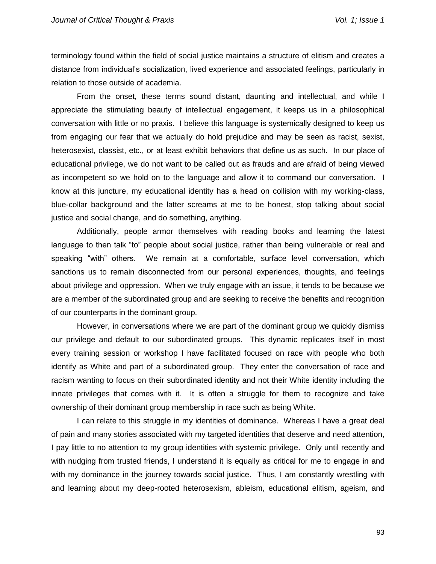terminology found within the field of social justice maintains a structure of elitism and creates a distance from individual's socialization, lived experience and associated feelings, particularly in relation to those outside of academia.

From the onset, these terms sound distant, daunting and intellectual, and while I appreciate the stimulating beauty of intellectual engagement, it keeps us in a philosophical conversation with little or no praxis. I believe this language is systemically designed to keep us from engaging our fear that we actually do hold prejudice and may be seen as racist, sexist, heterosexist, classist, etc., or at least exhibit behaviors that define us as such. In our place of educational privilege, we do not want to be called out as frauds and are afraid of being viewed as incompetent so we hold on to the language and allow it to command our conversation. I know at this juncture, my educational identity has a head on collision with my working-class, blue-collar background and the latter screams at me to be honest, stop talking about social justice and social change, and do something, anything.

Additionally, people armor themselves with reading books and learning the latest language to then talk "to" people about social justice, rather than being vulnerable or real and speaking "with" others. We remain at a comfortable, surface level conversation, which sanctions us to remain disconnected from our personal experiences, thoughts, and feelings about privilege and oppression. When we truly engage with an issue, it tends to be because we are a member of the subordinated group and are seeking to receive the benefits and recognition of our counterparts in the dominant group.

However, in conversations where we are part of the dominant group we quickly dismiss our privilege and default to our subordinated groups. This dynamic replicates itself in most every training session or workshop I have facilitated focused on race with people who both identify as White and part of a subordinated group. They enter the conversation of race and racism wanting to focus on their subordinated identity and not their White identity including the innate privileges that comes with it. It is often a struggle for them to recognize and take ownership of their dominant group membership in race such as being White.

I can relate to this struggle in my identities of dominance. Whereas I have a great deal of pain and many stories associated with my targeted identities that deserve and need attention, I pay little to no attention to my group identities with systemic privilege. Only until recently and with nudging from trusted friends, I understand it is equally as critical for me to engage in and with my dominance in the journey towards social justice. Thus, I am constantly wrestling with and learning about my deep-rooted heterosexism, ableism, educational elitism, ageism, and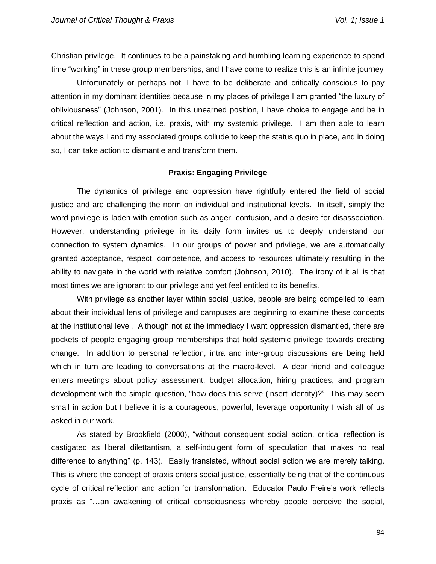Christian privilege. It continues to be a painstaking and humbling learning experience to spend time "working" in these group memberships, and I have come to realize this is an infinite journey

Unfortunately or perhaps not, I have to be deliberate and critically conscious to pay attention in my dominant identities because in my places of privilege I am granted "the luxury of obliviousness" (Johnson, 2001). In this unearned position, I have choice to engage and be in critical reflection and action, i.e. praxis, with my systemic privilege. I am then able to learn about the ways I and my associated groups collude to keep the status quo in place, and in doing so, I can take action to dismantle and transform them.

# **Praxis: Engaging Privilege**

The dynamics of privilege and oppression have rightfully entered the field of social justice and are challenging the norm on individual and institutional levels. In itself, simply the word privilege is laden with emotion such as anger, confusion, and a desire for disassociation. However, understanding privilege in its daily form invites us to deeply understand our connection to system dynamics. In our groups of power and privilege, we are automatically granted acceptance, respect, competence, and access to resources ultimately resulting in the ability to navigate in the world with relative comfort (Johnson, 2010). The irony of it all is that most times we are ignorant to our privilege and yet feel entitled to its benefits.

With privilege as another layer within social justice, people are being compelled to learn about their individual lens of privilege and campuses are beginning to examine these concepts at the institutional level. Although not at the immediacy I want oppression dismantled, there are pockets of people engaging group memberships that hold systemic privilege towards creating change. In addition to personal reflection, intra and inter-group discussions are being held which in turn are leading to conversations at the macro-level. A dear friend and colleague enters meetings about policy assessment, budget allocation, hiring practices, and program development with the simple question, "how does this serve (insert identity)?" This may seem small in action but I believe it is a courageous, powerful, leverage opportunity I wish all of us asked in our work.

As stated by Brookfield (2000), "without consequent social action, critical reflection is castigated as liberal dilettantism, a self-indulgent form of speculation that makes no real difference to anything" (p. 143). Easily translated, without social action we are merely talking. This is where the concept of praxis enters social justice, essentially being that of the continuous cycle of critical reflection and action for transformation. Educator Paulo Freire's work reflects praxis as "…an awakening of critical consciousness whereby people perceive the social,

94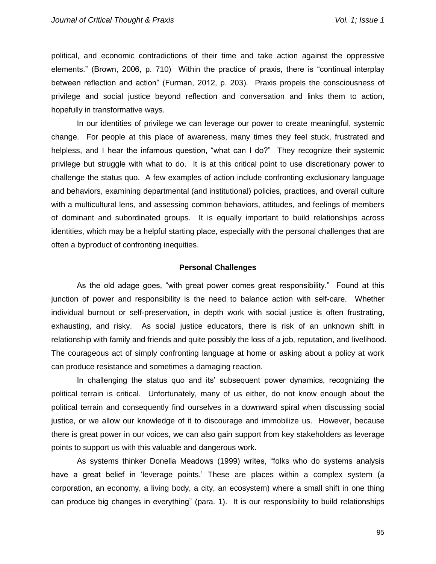political, and economic contradictions of their time and take action against the oppressive elements." (Brown, 2006, p. 710) Within the practice of praxis, there is "continual interplay between reflection and action" (Furman, 2012, p. 203). Praxis propels the consciousness of privilege and social justice beyond reflection and conversation and links them to action, hopefully in transformative ways.

In our identities of privilege we can leverage our power to create meaningful, systemic change. For people at this place of awareness, many times they feel stuck, frustrated and helpless, and I hear the infamous question, "what can I do?" They recognize their systemic privilege but struggle with what to do. It is at this critical point to use discretionary power to challenge the status quo. A few examples of action include confronting exclusionary language and behaviors, examining departmental (and institutional) policies, practices, and overall culture with a multicultural lens, and assessing common behaviors, attitudes, and feelings of members of dominant and subordinated groups. It is equally important to build relationships across identities, which may be a helpful starting place, especially with the personal challenges that are often a byproduct of confronting inequities.

## **Personal Challenges**

As the old adage goes, "with great power comes great responsibility." Found at this junction of power and responsibility is the need to balance action with self-care. Whether individual burnout or self-preservation, in depth work with social justice is often frustrating, exhausting, and risky. As social justice educators, there is risk of an unknown shift in relationship with family and friends and quite possibly the loss of a job, reputation, and livelihood. The courageous act of simply confronting language at home or asking about a policy at work can produce resistance and sometimes a damaging reaction.

In challenging the status quo and its' subsequent power dynamics, recognizing the political terrain is critical. Unfortunately, many of us either, do not know enough about the political terrain and consequently find ourselves in a downward spiral when discussing social justice, or we allow our knowledge of it to discourage and immobilize us. However, because there is great power in our voices, we can also gain support from key stakeholders as leverage points to support us with this valuable and dangerous work.

As systems thinker Donella Meadows (1999) writes, "folks who do systems analysis have a great belief in 'leverage points.' These are places within a complex system (a corporation, an economy, a living body, a city, an ecosystem) where a small shift in one thing can produce big changes in everything" (para. 1). It is our responsibility to build relationships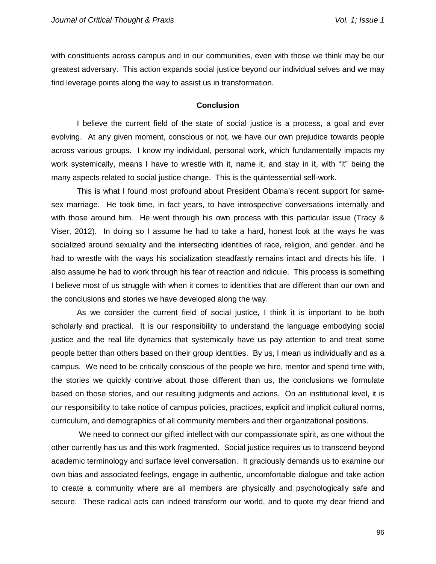with constituents across campus and in our communities, even with those we think may be our greatest adversary. This action expands social justice beyond our individual selves and we may find leverage points along the way to assist us in transformation.

## **Conclusion**

I believe the current field of the state of social justice is a process, a goal and ever evolving. At any given moment, conscious or not, we have our own prejudice towards people across various groups. I know my individual, personal work, which fundamentally impacts my work systemically, means I have to wrestle with it, name it, and stay in it, with "it" being the many aspects related to social justice change. This is the quintessential self-work.

This is what I found most profound about President Obama's recent support for samesex marriage. He took time, in fact years, to have introspective conversations internally and with those around him. He went through his own process with this particular issue (Tracy & Viser, 2012). In doing so I assume he had to take a hard, honest look at the ways he was socialized around sexuality and the intersecting identities of race, religion, and gender, and he had to wrestle with the ways his socialization steadfastly remains intact and directs his life. I also assume he had to work through his fear of reaction and ridicule. This process is something I believe most of us struggle with when it comes to identities that are different than our own and the conclusions and stories we have developed along the way.

As we consider the current field of social justice, I think it is important to be both scholarly and practical. It is our responsibility to understand the language embodying social justice and the real life dynamics that systemically have us pay attention to and treat some people better than others based on their group identities. By us, I mean us individually and as a campus. We need to be critically conscious of the people we hire, mentor and spend time with, the stories we quickly contrive about those different than us, the conclusions we formulate based on those stories, and our resulting judgments and actions. On an institutional level, it is our responsibility to take notice of campus policies, practices, explicit and implicit cultural norms, curriculum, and demographics of all community members and their organizational positions.

We need to connect our gifted intellect with our compassionate spirit, as one without the other currently has us and this work fragmented. Social justice requires us to transcend beyond academic terminology and surface level conversation. It graciously demands us to examine our own bias and associated feelings, engage in authentic, uncomfortable dialogue and take action to create a community where are all members are physically and psychologically safe and secure. These radical acts can indeed transform our world, and to quote my dear friend and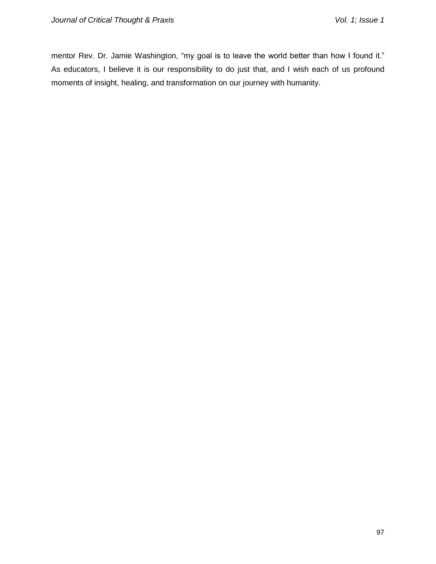mentor Rev. Dr. Jamie Washington, "my goal is to leave the world better than how I found it." As educators, I believe it is our responsibility to do just that, and I wish each of us profound moments of insight, healing, and transformation on our journey with humanity.